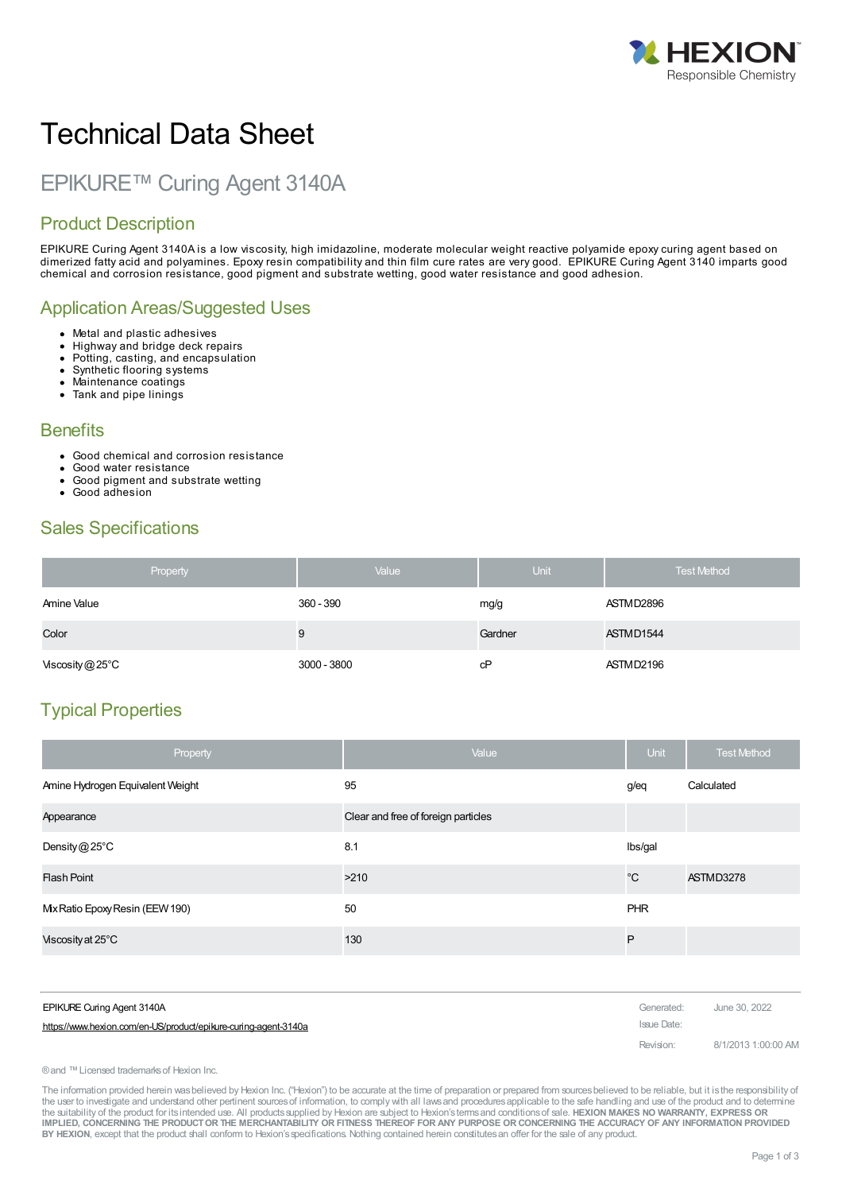

# Technical Data Sheet

# EPIKURE™ Curing Agent 3140A

# Product Description

EPIKURE Curing Agent 3140A is a low viscosity, high imidazoline, moderate molecular weight reactive polyamide epoxy curing agent based on dimerized fatty acid and polyamines. Epoxy resin compatibility and thin film cure rates are very good. EPIKURE Curing Agent 3140 imparts good chemical and corrosion resistance, good pigment and substrate wetting, good water resistance and good adhesion.

### Application Areas/Suggested Uses

- Metal and plastic adhesives
- Highway and bridge deck repairs
- Potting, casting, and encapsulation  $\bullet$ Synthetic flooring systems
- $\bullet$ Maintenance coatings
- Tank and pipe linings
- 

#### **Benefits**

- Good chemical and corrosion resistance
- Good water resistance
- Good pigment and substrate wetting
- Good adhesion

# Sales Specifications

| Property                  | Value       | <b>Unit</b> | <b>Test Method</b> |
|---------------------------|-------------|-------------|--------------------|
| Amine Value               | 360 - 390   | mg/g        | ASTMD2896          |
| Color                     | 9           | Gardner     | ASTMD1544          |
| Viscosity $@25^{\circ}$ C | 3000 - 3800 | cP          | ASTMD2196          |

# Typical Properties

| Property                         | Value                               | Unit         | <b>Test Method</b> |
|----------------------------------|-------------------------------------|--------------|--------------------|
| Amine Hydrogen Equivalent Weight | 95                                  | g/eq         | Calculated         |
| Appearance                       | Clear and free of foreign particles |              |                    |
| Density $@25^{\circ}$ C          | 8.1                                 | Ibs/gal      |                    |
| <b>Flash Point</b>               | >210                                | $^{\circ}$ C | ASTMD3278          |
| Mx Ratio Epoxy Resin (EEW 190)   | 50                                  | PHR          |                    |
| Viscosity at 25°C                | 130                                 | P            |                    |

| EPIKURE Curing Agent 3140A                                      | Generated:  | June 30, 2022       |
|-----------------------------------------------------------------|-------------|---------------------|
| https://www.hexion.com/en-US/product/epikure-curing-agent-3140a | Issue Date: |                     |
|                                                                 | Revision:   | 8/1/2013 1:00:00 AM |

®and ™Licensed trademarksof Hexion Inc.

The information provided herein was believed by Hexion Inc. ("Hexion") to be accurate at the time of preparation or prepared from sources believed to be reliable, but it is the responsibility of the user to investigate and understand other pertinent sources of information, to comply with all laws and procedures applicable to the safe handling and use of the product and to determine the suitability of the product for itsintended use. All productssupplied by Hexion are subject to Hexion'stermsand conditionsof sale. **HEXION MAKES NO WARRANTY, EXPRESS OR** IMPLIED, CONCERNING THE PRODUCT OR THE MERCHANTABILITY OR FITNESS THEREOF FOR ANY PURPOSE OR CONCERNING THE ACCURACY OF ANY INFORMATION PROVIDED **BY HEXION**, except that the product shall conform to Hexion'sspecifications. Nothing contained herein constitutesan offer for the sale of any product.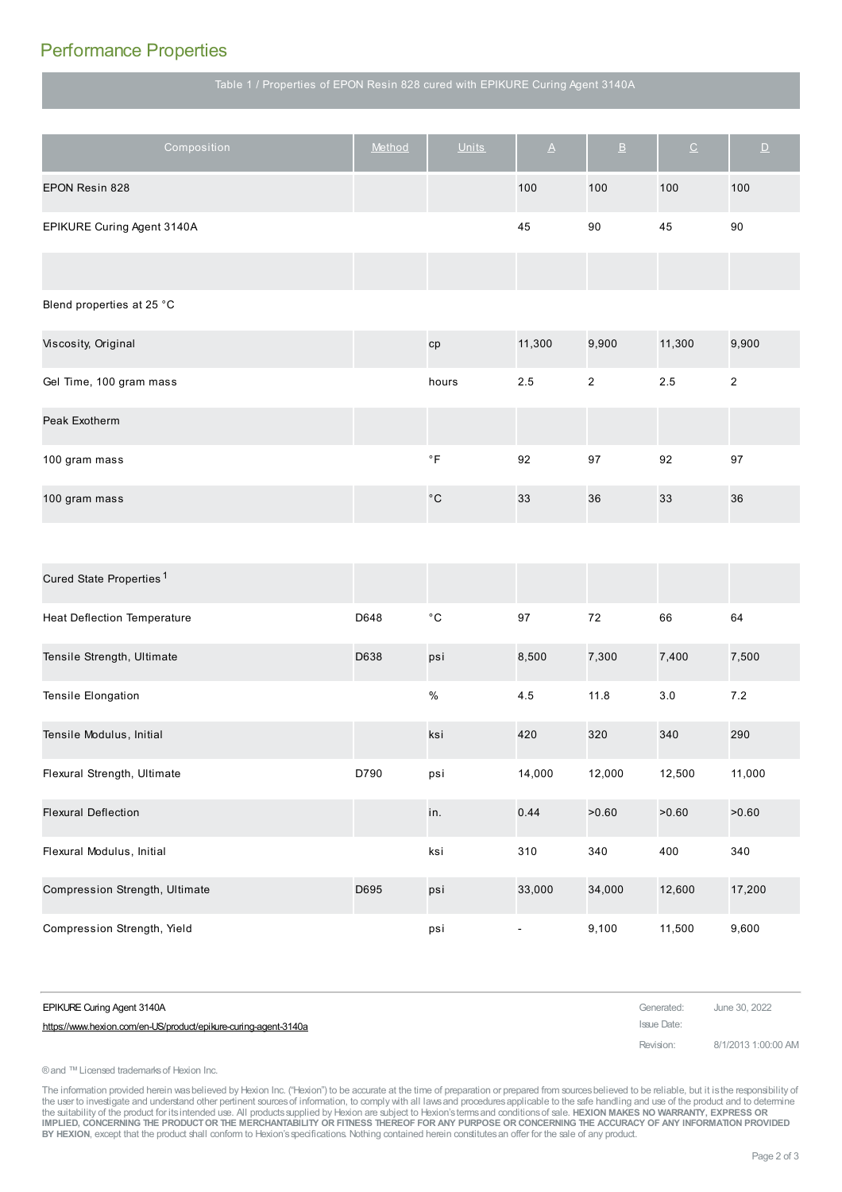# Performance Properties

Table 1 / Properties of EPON Resin 828 cured with EPIKURE Curing Agent 3140A

| Composition                         | Method | <b>Units</b>        | $\underline{\mathsf{A}}$ | $\underline{\mathsf{B}}$ | $\underline{\texttt{C}}$ | $\overline{\mathsf{D}}$ |
|-------------------------------------|--------|---------------------|--------------------------|--------------------------|--------------------------|-------------------------|
| EPON Resin 828                      |        |                     | 100                      | 100                      | 100                      | 100                     |
| EPIKURE Curing Agent 3140A          |        |                     | 45                       | 90                       | 45                       | 90                      |
|                                     |        |                     |                          |                          |                          |                         |
| Blend properties at 25 °C           |        |                     |                          |                          |                          |                         |
| Viscosity, Original                 |        | cp                  | 11,300                   | 9,900                    | 11,300                   | 9,900                   |
| Gel Time, 100 gram mass             |        | hours               | 2.5                      | $\overline{2}$           | 2.5                      | $\overline{\mathbf{c}}$ |
| Peak Exotherm                       |        |                     |                          |                          |                          |                         |
| 100 gram mass                       |        | $^\circ \mathsf{F}$ | 92                       | 97                       | 92                       | 97                      |
| 100 gram mass                       |        | $^\circ\mathrm{C}$  | 33                       | 36                       | 33                       | 36                      |
|                                     |        |                     |                          |                          |                          |                         |
| Cured State Properties <sup>1</sup> |        |                     |                          |                          |                          |                         |
| <b>Heat Deflection Temperature</b>  | D648   | $^{\circ}$ C        | 97                       | 72                       | 66                       | 64                      |
| Tensile Strength, Ultimate          | D638   | psi                 | 8,500                    | 7,300                    | 7,400                    | 7,500                   |
| Tensile Elongation                  |        | $\%$                | 4.5                      | 11.8                     | 3.0                      | 7.2                     |
| Tensile Modulus, Initial            |        | ksi                 | 420                      | 320                      | 340                      | 290                     |
| Flexural Strength, Ultimate         | D790   | psi                 | 14,000                   | 12,000                   | 12,500                   | 11,000                  |
| <b>Flexural Deflection</b>          |        | in.                 | 0.44                     | >0.60                    | >0.60                    | >0.60                   |
| Flexural Modulus, Initial           |        | ksi                 | 310                      | 340                      | 400                      | 340                     |
| Compression Strength, Ultimate      | D695   | psi                 | 33,000                   | 34,000                   | 12,600                   | 17,200                  |
| Compression Strength, Yield         |        | psi                 | $\blacksquare$           | 9,100                    | 11,500                   | 9,600                   |

| <b>EPIKURE Curing Agent 3140A</b>                               | Generated:  | June 30, 2022       |
|-----------------------------------------------------------------|-------------|---------------------|
| https://www.hexion.com/en-US/product/epikure-curing-agent-3140a | Issue Date: |                     |
|                                                                 | Revision:   | 8/1/2013 1:00:00 AM |

®and ™Licensed trademarksof Hexion Inc.

The information provided herein wasbelieved by Hexion Inc. ("Hexion") to be accurate at the time of preparation or prepared from sources believed to be reliable, but it is the responsibility of<br>the user to investigate and IMPLIED, CONCERNING THE PRODUCT OR THE MERCHANTABILITY OR FITNESS THEREOF FOR ANY PURPOSE OR CONCERNING THE ACCURACY OF ANY INFORMATION PROVIDED **BY HEXION**, except that the product shall conform to Hexion'sspecifications. Nothing contained herein constitutesan offer for the sale of any product.